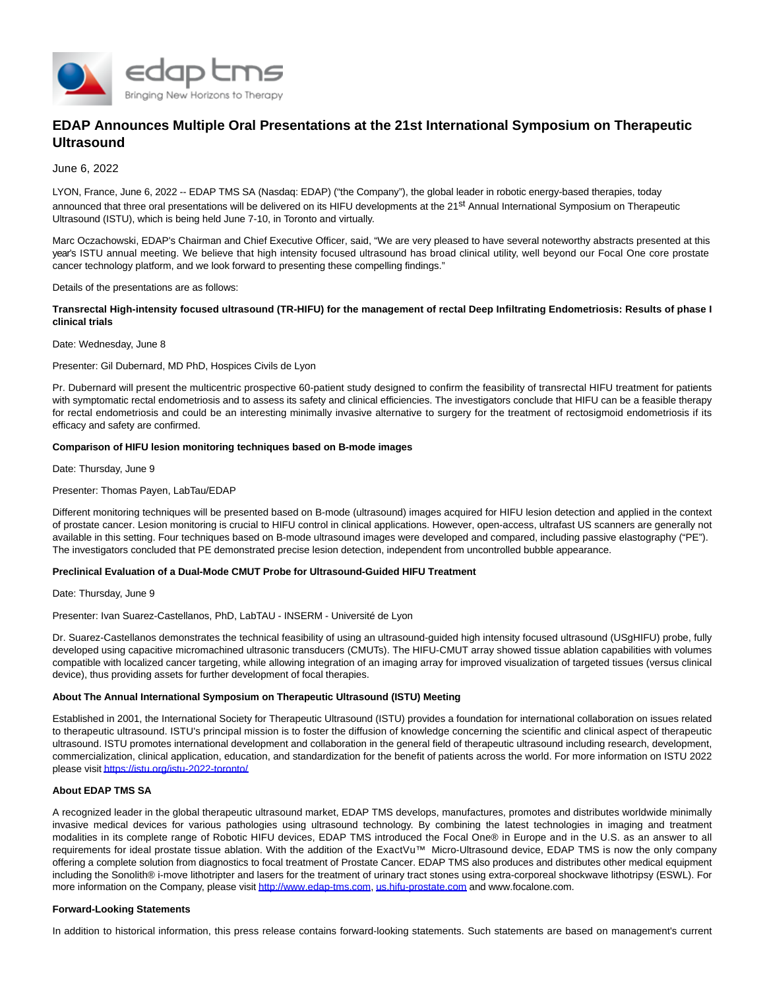

# **EDAP Announces Multiple Oral Presentations at the 21st International Symposium on Therapeutic Ultrasound**

## June 6, 2022

LYON, France, June 6, 2022 -- EDAP TMS SA (Nasdaq: EDAP) ("the Company"), the global leader in robotic energy-based therapies, today announced that three oral presentations will be delivered on its HIFU developments at the 21<sup>st</sup> Annual International Symposium on Therapeutic Ultrasound (ISTU), which is being held June 7-10, in Toronto and virtually.

Marc Oczachowski, EDAP's Chairman and Chief Executive Officer, said, "We are very pleased to have several noteworthy abstracts presented at this year's ISTU annual meeting. We believe that high intensity focused ultrasound has broad clinical utility, well beyond our Focal One core prostate cancer technology platform, and we look forward to presenting these compelling findings."

#### Details of the presentations are as follows:

## **Transrectal High-intensity focused ultrasound (TR-HIFU) for the management of rectal Deep Infiltrating Endometriosis: Results of phase I clinical trials**

Date: Wednesday, June 8

Presenter: Gil Dubernard, MD PhD, Hospices Civils de Lyon

Pr. Dubernard will present the multicentric prospective 60-patient study designed to confirm the feasibility of transrectal HIFU treatment for patients with symptomatic rectal endometriosis and to assess its safety and clinical efficiencies. The investigators conclude that HIFU can be a feasible therapy for rectal endometriosis and could be an interesting minimally invasive alternative to surgery for the treatment of rectosigmoid endometriosis if its efficacy and safety are confirmed.

## **Comparison of HIFU lesion monitoring techniques based on B-mode images**

Date: Thursday, June 9

## Presenter: Thomas Payen, LabTau/EDAP

Different monitoring techniques will be presented based on B-mode (ultrasound) images acquired for HIFU lesion detection and applied in the context of prostate cancer. Lesion monitoring is crucial to HIFU control in clinical applications. However, open-access, ultrafast US scanners are generally not available in this setting. Four techniques based on B-mode ultrasound images were developed and compared, including passive elastography ("PE"). The investigators concluded that PE demonstrated precise lesion detection, independent from uncontrolled bubble appearance.

## **Preclinical Evaluation of a Dual-Mode CMUT Probe for Ultrasound-Guided HIFU Treatment**

Date: Thursday, June 9

Presenter: Ivan Suarez-Castellanos, PhD, LabTAU - INSERM - Université de Lyon

Dr. Suarez-Castellanos demonstrates the technical feasibility of using an ultrasound-guided high intensity focused ultrasound (USgHIFU) probe, fully developed using capacitive micromachined ultrasonic transducers (CMUTs). The HIFU-CMUT array showed tissue ablation capabilities with volumes compatible with localized cancer targeting, while allowing integration of an imaging array for improved visualization of targeted tissues (versus clinical device), thus providing assets for further development of focal therapies.

## **About The Annual International Symposium on Therapeutic Ultrasound (ISTU) Meeting**

Established in 2001, the International Society for Therapeutic Ultrasound (ISTU) provides a foundation for international collaboration on issues related to therapeutic ultrasound. ISTU's principal mission is to foster the diffusion of knowledge concerning the scientific and clinical aspect of therapeutic ultrasound. ISTU promotes international development and collaboration in the general field of therapeutic ultrasound including research, development, commercialization, clinical application, education, and standardization for the benefit of patients across the world. For more information on ISTU 2022 please visi[t https://istu.org/istu-2022-toronto/](https://www.globenewswire.com/Tracker?data=yHjlnPgLyLYU-LUWlcFxmzXM1AHJuxqLnuJM5jFxX572_MLK4swayeyL0TtpFyUAphXmO9N2JKF1nYLmdFZVLALBNLgJbgNb4Gl5570t2Q0fBZA9XL57RF2Rw9-oul3D)

## **About EDAP TMS SA**

A recognized leader in the global therapeutic ultrasound market, EDAP TMS develops, manufactures, promotes and distributes worldwide minimally invasive medical devices for various pathologies using ultrasound technology. By combining the latest technologies in imaging and treatment modalities in its complete range of Robotic HIFU devices, EDAP TMS introduced the Focal One® in Europe and in the U.S. as an answer to all requirements for ideal prostate tissue ablation. With the addition of the ExactVu™ Micro-Ultrasound device, EDAP TMS is now the only company offering a complete solution from diagnostics to focal treatment of Prostate Cancer. EDAP TMS also produces and distributes other medical equipment including the Sonolith® i-move lithotripter and lasers for the treatment of urinary tract stones using extra-corporeal shockwave lithotripsy (ESWL). For more information on the Company, please visi[t http://www.edap-tms.com,](https://www.globenewswire.com/Tracker?data=yHjlnPgLyLYU-LUWlcFxm-PJz26GHd3LvrbYLKgdQMoyWzQ6yjPX9MZZGdUpdhLwdNT28L5uE2jEl9fm4ARJW9s1YWVo91yj8-NXcnAWe6XHmRuvdkD5EekxFOIJoH8qUDGgLVwu-2KuTot9UQXLcejQoTZYl04WOkg1C7xrJw2bbpI1jluPQfEqNeTAVjlCFtT38lwTKKIG3GIuS2pk4SXlJCqXrjzTJILfCSlEEpYPRChq__zEeKolJRP9AtZxWaAgJlUEjRqQdPsXm_uyNg==) [us.hifu-prostate.com a](https://www.globenewswire.com/Tracker?data=DEGwglSnTg2gbK323dVjBsPctc6jGAhoEstLI2EDt0AP2upwpRpgiyYDysIZZP96nQWy1pmiFdTPOcDvMDMt-OHB-Pk6vMFoT7PpuZz4URAIP9QO4i_ymPBVgk_z7WvKDsQU8WVAGdP36UbtzRwPrnlYpM9ljUPB0_Kt_f7rP4VG_yo7hOLG7g9wuXpRLH7u71mGyX5r6qGxhGC1-NCJlc2KDzxU58VFrRO568atxnb746GvFLKiL3_chykifViNPyk1SyS1W8RIwlTbfhtT7w==)nd www.focalone.com.

#### **Forward-Looking Statements**

In addition to historical information, this press release contains forward-looking statements. Such statements are based on management's current